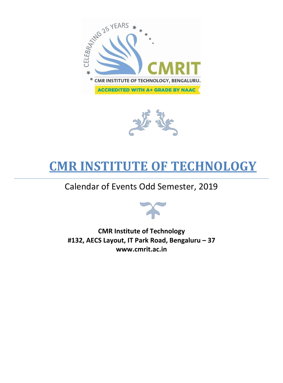



# **CMR INSTITUTE OF TECHNOLOGY**

## Calendar of Events Odd Semester, 2019



**CMR Institute of Technology #132, AECS Layout, IT Park Road, Bengaluru – 37 www.cmrit.ac.in**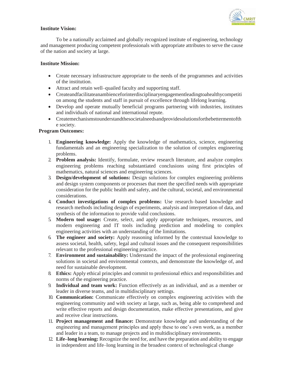

### **Institute Vision:**

To be a nationally acclaimed and globally recognized institute of engineering, technology and management producing competent professionals with appropriate attributes to serve the cause of the nation and society at large.

### **Institute Mission:**

- Create necessary infrastructure appropriate to the needs of the programmes and activities of the institution.
- Attract and retain well–quailed faculty and supporting staff.
- Createandfacilitateanambienceforinterdisciplinaryengagementleadingtoahealthycompetiti on among the students and staff in pursuit of excellence through lifelong learning.
- Develop and operate mutually beneficial programs partnering with industries, institutes and individuals of national and international repute.
- Createmechanismstounderstandthesocietalneedsandprovidesolutionsforthebettermentofth e society.

#### **Program Outcomes:**

- 1. **Engineering knowledge:** Apply the knowledge of mathematics, science, engineering fundamentals and an engineering specialization to the solution of complex engineering problems.
- 2. **Problem analysis:** Identify, formulate, review research literature, and analyze complex engineering problems reaching substantiated conclusions using first principles of mathematics, natural sciences and engineering sciences.
- 3. **Design/development of solutions:** Design solutions for complex engineering problems and design system components or processes that meet the specified needs with appropriate consideration for the public health and safety, and the cultural, societal, and environmental considerations.
- 4. **Conduct investigations of complex problems:** Use research–based knowledge and research methods including design of experiments, analysis and interpretation of data, and synthesis of the information to provide valid conclusions.
- 5. **Modern tool usage:** Create, select, and apply appropriate techniques, resources, and modern engineering and IT tools including prediction and modeling to complex engineering activities with an understanding of the limitations.
- 6. **The engineer and society:** Apply reasoning informed by the contextual knowledge to assess societal, health, safety, legal and cultural issues and the consequent responsibilities relevant to the professional engineering practice.
- 7. **Environment and sustainability:** Understand the impact of the professional engineering solutions in societal and environmental contexts, and demonstrate the knowledge of, and need for sustainable development.
- 8. **Ethics:** Apply ethical principles and commit to professional ethics and responsibilities and norms of the engineering practice.
- 9. **Individual and team work:** Function effectively as an individual, and as a member or leader in diverse teams, and in multidisciplinary settings.
- 10. **Communication:** Communicate effectively on complex engineering activities with the engineering community and with society at large, such as, being able to comprehend and write effective reports and design documentation, make effective presentations, and give and receive clear instructions.
- 11. **Project management and finance:** Demonstrate knowledge and understanding of the engineering and management principles and apply these to one's own work, as a member and leader in a team, to manage projects and in multidisciplinary environments.
- 12. **Life–long learning:** Recognize the need for, and have the preparation and ability to engage in independent and life–long learning in the broadest context of technological change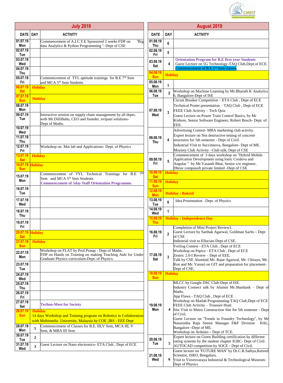

| <b>July 2019</b>       |                |                                                                                                                  |  |
|------------------------|----------------|------------------------------------------------------------------------------------------------------------------|--|
| <b>DATE</b>            | <b>DAY</b>     | <b>ACTIVITY</b>                                                                                                  |  |
| 01.07.19<br>Mon        |                | Commencement of A.I.C.T.E Sponsored 2 weeks FDP on<br>"Big<br>data Analytics & Python Programming "- Dept of CSE |  |
| 02.07.19<br>Tue        |                |                                                                                                                  |  |
| 03.07.19               |                |                                                                                                                  |  |
| Wed<br>04.07.19        |                |                                                                                                                  |  |
| Thu                    |                |                                                                                                                  |  |
| 05.07.19<br>Fri        |                | Commencement of TYL aptitude trainings for B.E 7 <sup>th</sup> Sem<br>and MCA 5 <sup>th</sup> Sem Students       |  |
| 06.07.19<br><b>Sat</b> | <b>Holiday</b> |                                                                                                                  |  |
| 07.07.19<br><b>Sun</b> | <b>Holiday</b> |                                                                                                                  |  |
| 08.07.19<br>Mon        |                |                                                                                                                  |  |
| 09.07.19               |                | Interactive session on supply chain management by all depts.                                                     |  |
| Tue                    |                | with Mr.DilliBabu, CEO and founder, nvipani solutions-<br>Dept of Maths.                                         |  |
| 10.07.19<br>Wed        |                |                                                                                                                  |  |
| 11.07.19               |                |                                                                                                                  |  |
| Thu<br>12.07.19        |                | Workshop on Mat lab and Applications- Dept. of Physics                                                           |  |
| Fri<br>13.07.19        |                |                                                                                                                  |  |
| Sat                    | <b>Holiday</b> |                                                                                                                  |  |
| 14.07.19<br><b>Sun</b> | <b>Holiday</b> |                                                                                                                  |  |
| 15.07.19               |                | Commencement of TYL Technical Trainings for B.E<br>7 <sup>th</sup><br>Sem and MCA 5 <sup>th</sup> Sem Students.  |  |
| Mon                    |                | <b>Commencement of 5day Staff Orientation Programme.</b>                                                         |  |
| 16.07.19<br>Tue        |                |                                                                                                                  |  |
| 17.07.19               |                |                                                                                                                  |  |
| Wed                    |                |                                                                                                                  |  |
| 18.07.19<br>1 hu       |                |                                                                                                                  |  |
| 19.07.19               |                |                                                                                                                  |  |
| Fri<br>20.07.19        |                |                                                                                                                  |  |
| <b>Sat</b>             |                | <b>Holiday</b>                                                                                                   |  |
| 21.07.19<br><b>Sun</b> | <b>Holiday</b> |                                                                                                                  |  |
| 22.07.19               |                | Workshop on FLAT by Prof.Pratap - Dept of Maths.<br>FDP on Hands on Training on making Teaching Aids for Under   |  |
| Mon                    |                | Graduate Physics curriculum-Dept. of Physics.                                                                    |  |
| 23.07.19<br>Tue        |                |                                                                                                                  |  |
| 24.07.19<br>Wed        |                |                                                                                                                  |  |
| 25.07.19               |                |                                                                                                                  |  |
| Thu<br>26.07.19        |                |                                                                                                                  |  |
| Fri<br>27.07.19        |                |                                                                                                                  |  |
| Sat                    |                | <b>Techno-Meet for Society</b>                                                                                   |  |
| 28.07.19<br><b>Sun</b> | Holidav        | 14 days Workshop and Training program on Robotics in Collaboration                                               |  |
|                        |                | with Multimedia University, Malaysia by COE, IRS - EEE Dept                                                      |  |
| 29.07.19<br>Mon        | 1              | Commencement of Classes for B.E. III, V Sem, MCA III, V<br>Sem, & MBA III Sem                                    |  |
| 30.07.19<br>Tue        | 2              |                                                                                                                  |  |
| 31.07.19               | 3              | Guest Lecture on Nano electronics-ETA Club, Dept of ECE                                                          |  |
| Wed                    |                |                                                                                                                  |  |

|                               | <b>August 2019</b> |                                                                                                                                                                                                                                                                                                                                                                                                                                                                                                          |  |  |
|-------------------------------|--------------------|----------------------------------------------------------------------------------------------------------------------------------------------------------------------------------------------------------------------------------------------------------------------------------------------------------------------------------------------------------------------------------------------------------------------------------------------------------------------------------------------------------|--|--|
| <b>DATE</b>                   | <b>DAY</b>         | <b>ACTIVITY</b>                                                                                                                                                                                                                                                                                                                                                                                                                                                                                          |  |  |
| 01.08.19<br>Thu               | 6                  |                                                                                                                                                                                                                                                                                                                                                                                                                                                                                                          |  |  |
| 02.08.19<br>Fri               | 5                  |                                                                                                                                                                                                                                                                                                                                                                                                                                                                                                          |  |  |
| 03.08.19<br>Sat               | 4                  | <b>Orientation Program for B.E first year Students</b><br>Guest Lecture on 5G Technology-TAQ Club, Dept.of ECE.<br>Commencement of B.E 1 <sup>st</sup> Sem classes.                                                                                                                                                                                                                                                                                                                                      |  |  |
| 04.08.19<br><b>Sun</b>        | <b>Holiday</b>     |                                                                                                                                                                                                                                                                                                                                                                                                                                                                                                          |  |  |
| 05.08.19<br>Mon               | 1                  |                                                                                                                                                                                                                                                                                                                                                                                                                                                                                                          |  |  |
| 06.08.19<br>Tue               | $\mathbf{2}$       | Workshop on Machine Learning by Mr.Bharath K Analytica<br>6, Bangalore-Dept of ISE                                                                                                                                                                                                                                                                                                                                                                                                                       |  |  |
| 07.08.19<br>Wed               | 3                  | Circuit Breaker Competition - ETA Club, Dept of ECE<br>Technical Poster presentation - TAQ Club, Dept of ECE<br>FEEE Club Activity - Tech Quiz<br>Guest Lecture on Power Train Control Basics, by Mr<br>Kishore, Senior Software Engineer, Robert Bosch- Dept. of<br>EEE.                                                                                                                                                                                                                                |  |  |
| 08.08.19<br><b>Thu</b>        | 4                  | Advertising Contest-MBA marketing club activity.<br>Expert lecture on Not destructive testing of concrete<br>structures for 5th semester - Dept of Civil.<br>Industrial Visit to Succinnova, Bangalore- Dept of ME.<br>Moziety Club Activity - Club talk, Dept of CSE                                                                                                                                                                                                                                    |  |  |
| 09.08.19<br>Fri               | 5                  | Commencement of 3 days workshop on "Hybrid Mobile<br>Application Development using Ionic Cordova and<br>Angular " by Mr. Vasanth Bhat, Senior s/w engineer,<br>Dhruv compusoft private limited -Dept of CSE                                                                                                                                                                                                                                                                                              |  |  |
| 10.08.19<br><b>Sat</b>        | <b>Holiday</b>     |                                                                                                                                                                                                                                                                                                                                                                                                                                                                                                          |  |  |
| 11.08.19<br><b>Sun</b>        | <b>Holiday</b>     |                                                                                                                                                                                                                                                                                                                                                                                                                                                                                                          |  |  |
| 12.08.19<br><b>Mon</b>        |                    | <b>Holiday: Bakrid</b>                                                                                                                                                                                                                                                                                                                                                                                                                                                                                   |  |  |
| 13.08.19<br>Tue               | 6                  | Idea Presentation -Dept. of Physics                                                                                                                                                                                                                                                                                                                                                                                                                                                                      |  |  |
| 14.08.19<br>Wed               | 1                  |                                                                                                                                                                                                                                                                                                                                                                                                                                                                                                          |  |  |
| <u>15.08.19</u><br><b>Thu</b> |                    | <u> Holiday : Independence Day</u>                                                                                                                                                                                                                                                                                                                                                                                                                                                                       |  |  |
| 16.08.19<br>Fri               | $\mathbf 2$        | Completion of Mini Project Review1.<br>Guest Lecture by Sarthak Agarwal, Goldman Sachs - Dept<br>of CSE<br>Industrial visit to Ellucian-Dept of CSE.                                                                                                                                                                                                                                                                                                                                                     |  |  |
| 17.08.19<br>Sat               | 3                  | Verilog Contest - ETA Club, Dept of ECE<br>Workshop on Pspice - ETA Club, Dept of ECE<br>Zestric 2.0-I Review - Dept of EEE.<br>Talk by CSE Alumini( Mr. Rajat Agarwal, Mr. Chirayu, Mr.<br>Ron and Mr. Varun) on GIT and preparation for placement-<br>Dept of CSE.                                                                                                                                                                                                                                     |  |  |
| 18.08.19<br><b>Sun</b>        | <b>Holiday</b>     |                                                                                                                                                                                                                                                                                                                                                                                                                                                                                                          |  |  |
| 19.08.19<br>Mon               | 4                  | MLCC by Google DSC Club-Dept of ISE.<br>Industry Connect talk by Alumni Mr.Shashank - Dept of<br>Maths.<br>App Flaws - TAQ Club, Dept of ECE<br>Workshop on Matlab Programming-TAQ Club, Dept of ECE<br>FEEE Club Activity - Treasure Hunt<br>Site Visit to Metro Construction Site for 5th semester - Dept<br>of Civil.<br>Guest Lecture on "Trends in Foundry Technology", by Mr<br>Narasimha Raju Senior Manager F&F Division<br>HAL.<br>Bangalore -Dept of ME.<br>Workshop on Arduino - Dept of TCE. |  |  |
| 20.08.19<br>Tue               | 5.                 | Expert lecture on Green Building certification by different<br>rating systems by the student chapter IGBC- Dept of Civil.<br>AUTOCAD competition by SOCE - Dept of Civil.                                                                                                                                                                                                                                                                                                                                |  |  |
| 21.08.19<br>Wed               | 6                  | Guest lecture on "FUTURE MAN" by Dr.C.R.Sathya,Retired<br>Scientist, ISRO, Bengaluru.<br>Visit to Visvesvaraya Industrial & Technological Museum-<br>Dept of Physics                                                                                                                                                                                                                                                                                                                                     |  |  |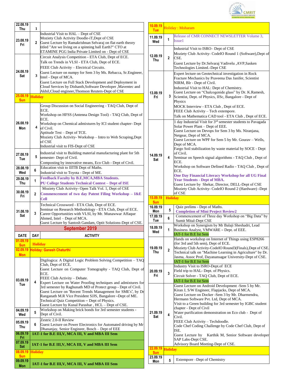

| 22.08.19<br>Thu        | 1              |                                                                                                                                                                                                                                                                                                                                                                                                                                                                                                           |  |
|------------------------|----------------|-----------------------------------------------------------------------------------------------------------------------------------------------------------------------------------------------------------------------------------------------------------------------------------------------------------------------------------------------------------------------------------------------------------------------------------------------------------------------------------------------------------|--|
|                        |                | Industrial Visit to HAL - Dept of CSE                                                                                                                                                                                                                                                                                                                                                                                                                                                                     |  |
| 23.08.19<br>Fri        | $\mathbf{2}$   | Moziety Club Activity Doodle-iT, Dept of CSE<br>Guest Lecture by Ramakrishnan Selvaraj on flat earth theory<br>titled "Are we living on a spinning ball Earth?" CTO at<br>ETAMINE PGG India Private Limited on - Dept of CSE                                                                                                                                                                                                                                                                              |  |
| 24.08.19<br>Sat        | 3 <sup>1</sup> | Circuit Analysis Competition - ETA Club, Dept of ECE.<br>Talk on Trends in VLSI - ETA Club, Dept of ECE.<br>FEEE Club Activity - Electrical Circuits.<br>Guest Lecture on numpy for Sem 3 by Ms. Rebacca, Sr. Engineer,<br>Intel - Dept of MCA.<br>Guest Lecture on Full Stack Development and Deployment in<br>Cloud Services by Dishanth, Software Developer, Maventec and<br>Akhil, Cloud engineer, Thomson Reuters-Dept of CSE                                                                        |  |
| 25.08.19<br><b>Sun</b> | <b>Holiday</b> |                                                                                                                                                                                                                                                                                                                                                                                                                                                                                                           |  |
| 26.08.19<br>Mon        | 4              | Group Discussion on Social Engineering - TAQ Club, Dept of<br>ECE.<br>Workshop on HFSS (Antenna Design Tool) - TAQ Club, Dept of<br>ECE.<br>Workshop on Chemical admixtures by ICI student chapter- Dept<br>of Civil.<br>Aptitude Test - Dept of TCE.<br>Moziety Club Activity- Workshop - Intro to Web Scraping, Dept<br>of CSE<br>Industrial visit to FIS-Dept of CSE                                                                                                                                   |  |
| 27.08.19<br>Tue        | 5              | Industrial visit to Building material manufacturing plant for 5th<br>semester- Dept of Civil.<br>Composting by innovative means, Eco Club - Dept of Civil.                                                                                                                                                                                                                                                                                                                                                |  |
| 28.08.19<br>Wed        | 6              | Education visit to IIITB Dept of Maths.<br>Industrial visit to Toyota - Dept of ME.                                                                                                                                                                                                                                                                                                                                                                                                                       |  |
| 29.08.19<br>Thu        | 1              | <b>Feedback Faculty by B.E,MCA,MBA Students.</b><br><b>PU College Students Technical Contest - Dept of ISE</b>                                                                                                                                                                                                                                                                                                                                                                                            |  |
| 30.08.19<br>Fri        | $\mathbf 2$    | Moziety Club Activity- Open Talk Vol. 1, Dept of CSE<br>Commencement of two day Patent Filing Workshop - I&E<br><b>Cell</b>                                                                                                                                                                                                                                                                                                                                                                               |  |
| 31.08.19<br>Sat        | 3              | Technical Crossword - ETA Club, Dept of ECE.<br>Seminar on Research Methodology - ETA Club, Dept of ECE.<br>Career Opportunities with VLSI, by Mr. Munawwar Affaque<br>Ahmed, Intel - Dept of MCA.<br>Guest Lecture by Santosh Gandam, Optit Solutions-Dept of CSE.                                                                                                                                                                                                                                       |  |
|                        |                | <b>September 2019</b>                                                                                                                                                                                                                                                                                                                                                                                                                                                                                     |  |
| <b>DATE</b>            | <b>DAY</b>     | <b>ACTIVITY</b>                                                                                                                                                                                                                                                                                                                                                                                                                                                                                           |  |
| 01.09.19               | <b>Holiday</b> |                                                                                                                                                                                                                                                                                                                                                                                                                                                                                                           |  |
| <b>Sun</b><br>02.09.19 |                | <b>Holiday: Ganesh Chaturthi</b>                                                                                                                                                                                                                                                                                                                                                                                                                                                                          |  |
| <b>Mon</b>             |                |                                                                                                                                                                                                                                                                                                                                                                                                                                                                                                           |  |
|                        |                |                                                                                                                                                                                                                                                                                                                                                                                                                                                                                                           |  |
| 03.09.19<br>Tue        | 4              | Digilogica: A Digital Logic Problem Solving Competition - TAQ<br>Club, Dept of ECE.<br>Guest Lecture on Computer Tomography - TAQ Club, Dept of<br>ECE.<br>FEEE Club Activity - Debate.<br>Expert Lecture on Water Proofing techniques and admixtures for<br>3rd semester by Raghunath MD of Protect group - Dept of Civil.<br>Guest Lecture on "Recent Trends Management for SME's", by Dr<br>Ranganath M.R Vice President SJJS, Bangalore -Dept of ME.<br>Technical Quiz Competition - Dept of Physics. |  |
| 04.09.19<br>Wed        | 5              | Guest Lecture by Kunal Parashar, HCL - Dept of CSE.<br>Workshop on Making brick bonds for 3rd semester students -<br>Dept of Civil.                                                                                                                                                                                                                                                                                                                                                                       |  |
| 05.09.19<br>Thu        | 6              | Zestric 2.0-II Review<br>Guest Lecture on Power Electronics for Automated driving by Mr                                                                                                                                                                                                                                                                                                                                                                                                                   |  |
| 06.09.19<br>Fri        |                | Dhananjay, Senior Engineer, Bosch - Dept of EEE<br>IAT-1 for B.E III, V, MCA III, V and MBA III Sem                                                                                                                                                                                                                                                                                                                                                                                                       |  |
| 07.09.19<br><b>Sat</b> |                | IAT-1 for B.E III, V, MCA III, V and MBA III Sem                                                                                                                                                                                                                                                                                                                                                                                                                                                          |  |
| 08.09.19<br><b>Sun</b> | <b>Holiday</b> |                                                                                                                                                                                                                                                                                                                                                                                                                                                                                                           |  |

| 10.09.19<br><b>Tue</b> |                         | Holiday: Moharam                                                                                                                                                                                                                                                                                                                                                                                                                                                                                                                                                                                                                                                                                                      |
|------------------------|-------------------------|-----------------------------------------------------------------------------------------------------------------------------------------------------------------------------------------------------------------------------------------------------------------------------------------------------------------------------------------------------------------------------------------------------------------------------------------------------------------------------------------------------------------------------------------------------------------------------------------------------------------------------------------------------------------------------------------------------------------------|
| 11.09.19<br>Wed        | 1                       | Release of CMR CONNECT NEWSLETTER Volume 3,<br>Issue 1                                                                                                                                                                                                                                                                                                                                                                                                                                                                                                                                                                                                                                                                |
| 12.09.19<br>Thu        | $\mathbf{2}$            | Industrial Visit to ISRO- Dept of CSE<br>Moziety Club Activity- CodeIO Round 1 (Software), Dept of<br>CSE.<br>Guest Lecture by Dr.Selvaraj Vadivelu , AVP, Sasken<br>Technologies Limited.-Dept CSE                                                                                                                                                                                                                                                                                                                                                                                                                                                                                                                   |
| 13.09.19<br>Fri        | 3                       | Expert lecture on Geotechnical investigation in Rock<br>Fracture Mechanics by Praveena Das Janifer, Scientist<br>NIRM, Blr - Dept of Civil.<br>Industrial Visit to HAL: Dept of Chemistry.<br>Guest Lecture on "Chalcogenide glass" by Dr. K.Ramesh,<br>Scientist, Dept. of Physics, IISc, Bangalore - Dept of<br>Physics<br>MOCK Interview - ETA Club, Dept of ECE.<br>FEEE Club Activity - Tech extempore.<br>Talk on Mathematica CAD tool - ETA Club, Dept of ECE.                                                                                                                                                                                                                                                 |
| 14.09.19<br>Sat        | 4                       | 1 day Industrial Visit for 3 <sup>rd</sup> semester students to Pavagada<br>Solar Power Plant - Dept of EEE.<br>Guest Lecture on Devops for Sem 3 by Ms. Niranjana,<br>Netgear, Dept of MCA.<br>Guest Lecture on WPF for Sem 5 by Mr. Gourav - Wells,<br>Dept of MCA.<br>Fargo Soil stabilization by waste material by SOCE - Dept<br>of Civil.<br>Seminar on Speech signal algorithms - TAQ Club, Dept of<br>ECE.<br>Workshop on Software Defined Radio - TAQ Club, Dept of<br>ECE.<br><b>One Day Financial Literacy Workshop for all UG Final</b><br><b>Year Students - Dept of MBA.</b><br>Guest Lecture by Shekar, Director, DELL-Dept of CSE<br>Moziety Club Activity- CodeIO Round 2 (Hardware) -Dept<br>of CSE |
|                        |                         |                                                                                                                                                                                                                                                                                                                                                                                                                                                                                                                                                                                                                                                                                                                       |
| 15.09.19<br><b>Sun</b> | <b>Holiday</b>          |                                                                                                                                                                                                                                                                                                                                                                                                                                                                                                                                                                                                                                                                                                                       |
| 16.09.19<br>Mon        | 5                       | Quiz prelims - Dept of Maths.                                                                                                                                                                                                                                                                                                                                                                                                                                                                                                                                                                                                                                                                                         |
| 17.09.19<br>Tue        | 6                       | <b>Completion of Mini Project Review2</b><br>Commencement of Three day Workshop on "Big Data" by                                                                                                                                                                                                                                                                                                                                                                                                                                                                                                                                                                                                                      |
| 18.09.19<br>Wed        | 1                       | Sumit Mital-Dept CSE<br>Workshop on Synergism by Mr Balaji Sheshadri, Lead<br>Business Analyst, VMWARE - Dept. of EEE.                                                                                                                                                                                                                                                                                                                                                                                                                                                                                                                                                                                                |
| 19.09.19<br>Thu        | $\overline{2}$          | IAT-1 for B.E Ist Sem<br>Hands on workshop on Internet of Things using ESP8266<br>(for 3rd and 5th sem), Dept of ECE.<br>Moziety Club Activity-CodeIO Round3(Finals), Dept of CSE.<br>Technical talk on "Machine Learning in Agriculture" by Dr.<br>Jasma, Assoc Prof, Dayanansagar University-Dept of CSE.<br>IAT-1 for B.E Ist Sem                                                                                                                                                                                                                                                                                                                                                                                  |
| 20.09.19<br>Fri        | 3                       | Industry Visit to ISRO-Dept.of ECE<br>Field trip to HAL- Dept. of Physics.<br>Circuit Solver - TAQ Club, Dept of ECE.<br>IAT-1 for B.E Ist Sem                                                                                                                                                                                                                                                                                                                                                                                                                                                                                                                                                                        |
| 21.09.19<br>Sat        | $\overline{\mathbf{4}}$ | Guest Lecture on Android Development -Sem 5 by Mr.<br>Kiran J, S/W Engineer, Flapjacks, Dept of MCA.<br>Guest Lecture on Docker -Sem 3 by Mr. Dharmendra,<br>Hermann Software Pvt. Ltd, Dept of MCA.<br>Visit to a Green building for 3rd semester by IGBC student<br>chapter - Dept of Civil<br>Water purification demonstration on Eco club - Dept of<br>Civil.<br>FEEE Club Activity - Techdoodle.<br>Code Chef Coding Challenge by Code Chef Club, Dept of<br>ISE.<br>SAP Labs-Dept CSE.                                                                                                                                                                                                                          |
| 22.09.19<br><b>Sun</b> | <b>Holiday</b>          | Guest Lecture by Karthik M, Senior Software developer<br>Advisory Board Meeting-Dept of CSE.                                                                                                                                                                                                                                                                                                                                                                                                                                                                                                                                                                                                                          |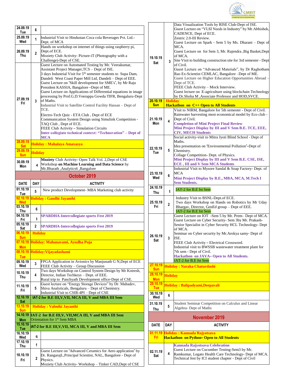

| 24.09.19<br>Tue                    | 6                                                     |                                                                                                                                                                                                                                                                                                                                                                                                                                                                                                                                                                                                                                                                                                                                                                                                                                                    |  |
|------------------------------------|-------------------------------------------------------|----------------------------------------------------------------------------------------------------------------------------------------------------------------------------------------------------------------------------------------------------------------------------------------------------------------------------------------------------------------------------------------------------------------------------------------------------------------------------------------------------------------------------------------------------------------------------------------------------------------------------------------------------------------------------------------------------------------------------------------------------------------------------------------------------------------------------------------------------|--|
| 25.09.19<br>Wed                    | 1                                                     | Industrial Visit to Hindustan Coca cola Beverages Pvt. Ltd.-                                                                                                                                                                                                                                                                                                                                                                                                                                                                                                                                                                                                                                                                                                                                                                                       |  |
| 26.09.19<br>Thu                    | $\overline{\mathbf{c}}$                               | Dept. of MCA<br>Hands on workshop on internet of things using raspberry pi,<br>Dept.of ECE.<br>Moziety Club Activity- Picture-iT (Photography with a<br>Challenge)-Dept of CSE.                                                                                                                                                                                                                                                                                                                                                                                                                                                                                                                                                                                                                                                                    |  |
| 27.09.19<br>Fri                    | 3                                                     | Guest Lecture on Automated Testing by Mr. Veerakumar,<br>Assistant Project Manager, TCS - Dept of ISE.<br>3 days Industrial Visit for 5 <sup>th</sup> semester students to Supa Dam,<br>Dandeli West Coast Paper Mill Ltd, Dandeli - Dept of EEE.<br>Guest Lecture on "Skill development for SME's", by Mr Raju<br>President KASSIA, Bangalore -Dept of ME.<br>Guest Lecture on Applications of Differential equations in image<br>processing by Prof.G.D.Veerappa Gowda TIFR, Bengaluru-Dept<br>of Maths.<br>Industrial Visit to Satellite Control Facility Hassan - Dept of<br>TCE.<br>Electro-Tech Quiz - ETA Club, Dept of ECE<br>Communication System Design using Simulink Competition -<br>TAQ Club, Dept of ECE.<br>FEEE Club Activity - Simulation Circuits<br>Inter-collegiate technical context: "Technovation" - Dept of<br><b>MCA</b> |  |
| 28.09.19<br><b>Sat</b><br>29.09.19 |                                                       | Holiday : Mahalaya Amavasya                                                                                                                                                                                                                                                                                                                                                                                                                                                                                                                                                                                                                                                                                                                                                                                                                        |  |
| <b>Sun</b>                         | <b>Holiday</b>                                        |                                                                                                                                                                                                                                                                                                                                                                                                                                                                                                                                                                                                                                                                                                                                                                                                                                                    |  |
| 30.09.19<br>Mon                    | $\overline{\mathbf{4}}$                               | Moziety Club Activity- Open Talk Vol. 2, Dept of CSE<br>Workshop on Machine Learning and Data Science by<br>Mr.Bharath ,Analytics6 ,Bangalore                                                                                                                                                                                                                                                                                                                                                                                                                                                                                                                                                                                                                                                                                                      |  |
|                                    |                                                       | October 2019                                                                                                                                                                                                                                                                                                                                                                                                                                                                                                                                                                                                                                                                                                                                                                                                                                       |  |
| <b>DATE</b>                        | <b>DAY</b>                                            | <b>ACTIVITY</b>                                                                                                                                                                                                                                                                                                                                                                                                                                                                                                                                                                                                                                                                                                                                                                                                                                    |  |
| 01.10.19<br>Tue                    | 5                                                     | New product Development- MBA Marketing club activity                                                                                                                                                                                                                                                                                                                                                                                                                                                                                                                                                                                                                                                                                                                                                                                               |  |
| 02.10.19<br><b>Wed</b>             |                                                       | Holiday: Gandhi Jayanthi                                                                                                                                                                                                                                                                                                                                                                                                                                                                                                                                                                                                                                                                                                                                                                                                                           |  |
| 03.10.19<br>Thu                    | 6                                                     |                                                                                                                                                                                                                                                                                                                                                                                                                                                                                                                                                                                                                                                                                                                                                                                                                                                    |  |
| 04.10.19<br>Fri                    | $\mathbf{1}$                                          | <b>SPARDHA-Intercollegiate sports Fest 2019</b>                                                                                                                                                                                                                                                                                                                                                                                                                                                                                                                                                                                                                                                                                                                                                                                                    |  |
| 05.10.19<br>Sat                    | 2                                                     | <b>SPARDHA-Intercollegiate sports Fest 2019</b>                                                                                                                                                                                                                                                                                                                                                                                                                                                                                                                                                                                                                                                                                                                                                                                                    |  |
| 06.10.19<br><b>Sun</b>             | <b>Holiday</b>                                        |                                                                                                                                                                                                                                                                                                                                                                                                                                                                                                                                                                                                                                                                                                                                                                                                                                                    |  |
| 07.10.19<br><b>Mon</b>             | Holiday: Mahanavami, Ayudha Puja                      |                                                                                                                                                                                                                                                                                                                                                                                                                                                                                                                                                                                                                                                                                                                                                                                                                                                    |  |
| 08.10.19<br>Tue                    |                                                       | Holiday: Vijayadashami                                                                                                                                                                                                                                                                                                                                                                                                                                                                                                                                                                                                                                                                                                                                                                                                                             |  |
| 09.10.19<br>Wed                    | 3                                                     | FPGA Application in Avionics by Manjunath G N, Dept of ECE<br>FEEE Club Activity - Group Discussion                                                                                                                                                                                                                                                                                                                                                                                                                                                                                                                                                                                                                                                                                                                                                |  |
| 10.10.19<br>Thu                    | 4                                                     | Two days Workshop on Control System Design by Mr Kotresh,<br>Director, Indian Techkeys - Dept. of EEE.<br>Rural trip to Panchyath Development office-Dept of CSE.                                                                                                                                                                                                                                                                                                                                                                                                                                                                                                                                                                                                                                                                                  |  |
| 11.10.19<br>Fri                    | 5                                                     | Guest lecture on "Energy Storage Devices" by Dr. Mahadev,<br>Shiva Analyticals, Bengaluru - Dept of Chemistry.<br>Industrial Visit to CSIR-4PI - Dept of CSE                                                                                                                                                                                                                                                                                                                                                                                                                                                                                                                                                                                                                                                                                       |  |
| 12.10.19<br><b>Sat</b>             | IAT-2 for B.E III, V, VII, MCA III, V and MBA III Sem |                                                                                                                                                                                                                                                                                                                                                                                                                                                                                                                                                                                                                                                                                                                                                                                                                                                    |  |
| 13.10.19<br><b>Sun</b>             |                                                       | Holiday: Valmiki Jayanthi                                                                                                                                                                                                                                                                                                                                                                                                                                                                                                                                                                                                                                                                                                                                                                                                                          |  |
| 14.10.19<br><b>Mon</b>             |                                                       | IAT-2 for B.E III, V, VII, MCA III, V and MBA III Sem<br>Orientation for 1 <sup>st</sup> Sem MBA                                                                                                                                                                                                                                                                                                                                                                                                                                                                                                                                                                                                                                                                                                                                                   |  |
| 15.10.19<br>Tue                    |                                                       | AT-2 for B.E III, V, VII, MCA III, V and MBA III Sem                                                                                                                                                                                                                                                                                                                                                                                                                                                                                                                                                                                                                                                                                                                                                                                               |  |
| 16.10.19<br>Wed                    | 6                                                     |                                                                                                                                                                                                                                                                                                                                                                                                                                                                                                                                                                                                                                                                                                                                                                                                                                                    |  |
| 17.10.19<br>Thu                    | 1                                                     |                                                                                                                                                                                                                                                                                                                                                                                                                                                                                                                                                                                                                                                                                                                                                                                                                                                    |  |
| 18.10.19<br>Fri                    | 2                                                     | Guest Lecture on "Advanced Ceramics for Aero application" by<br>Dr. RangarajL, Principal Scientist, NAL, Bangalore - Dept of<br>Physics.<br>Moziety Club Activity- Workshop - Tinker CAD, Dept of CSE                                                                                                                                                                                                                                                                                                                                                                                                                                                                                                                                                                                                                                              |  |

| 19.10.19<br>Sat                      | 3                                  | Data Visualization Tools by RISE Club-Dept of ISE.<br>Guest Lecture on "VLSI Needs in Industry" by Mr. Abhishek,<br>CADENCE, Dept of ECE.<br>Zestric 2.0-III Review.<br>Guest Lecture on Spark - Sem 5 by Ms. Dharani - Dept of<br>MCA.<br>Guest Lecture on for Sem 3, Mr. Rajendra , Big Basket, Dept<br>of MCA.<br>Site Visit to building construction site for 3rd semester - Dept<br>of Civil.<br>Guest Lecture on "Advanced Materials", by Dr Raghotham<br>Rao Ex-Scientist CEMLAC, Bangalore -Dept of ME.<br>Guest Lecture on Higher Education Opportunities Abroad -<br>Dept of TCE.<br>FEEE Club Activity - Mock Interview.<br>Guest lecture on E-agriculture using blockchain Technology<br>by Dr.Shoba M ,Associate Professor and HOD,SVCE. |
|--------------------------------------|------------------------------------|-------------------------------------------------------------------------------------------------------------------------------------------------------------------------------------------------------------------------------------------------------------------------------------------------------------------------------------------------------------------------------------------------------------------------------------------------------------------------------------------------------------------------------------------------------------------------------------------------------------------------------------------------------------------------------------------------------------------------------------------------------|
| 20.10.19<br><b>Sun</b>               | <b>Holidav</b>                     | <b>Hackathon on C++ Open to All Students</b>                                                                                                                                                                                                                                                                                                                                                                                                                                                                                                                                                                                                                                                                                                          |
| 21.10.19<br>Mon                      | 4                                  | Visit to NIRM, Bangalore for 5th semester - Dept of Civil.<br>Rainwater harvesting most economical model by Eco club -<br>Dept of Civil.<br><b>Completion of Mini Project Final Review</b><br>Mini Project Display by III and V Sem B.E. TCE, EEE,<br><b>CIV, MECH Students</b>                                                                                                                                                                                                                                                                                                                                                                                                                                                                       |
| 22.10.19<br>Tue                      | 5                                  | Social activity-visit to Mitra Jyoti Blind School - Dept of<br>Maths.<br>Idea presentation on "Environmental Pollution"-Dept of<br>Chemistry.<br>Collage Competition- Dept. of Physics.<br>Mini Project Display by III and V Sem B.E. CSE, ISE,<br><b>ECE, III and V Sem MCA Students</b>                                                                                                                                                                                                                                                                                                                                                                                                                                                             |
| 23.10.19<br>Wed                      | 6                                  | Industrial Visit to Mysore Sandal & Soap Factory- Dept. of<br><b>MCA</b><br>Mini Project Display by B.E., MBA, MCA, M.Tech I<br><b>Sem Students.</b>                                                                                                                                                                                                                                                                                                                                                                                                                                                                                                                                                                                                  |
| 24.10.19                             |                                    | IAT-2 for B.E Ist Sem                                                                                                                                                                                                                                                                                                                                                                                                                                                                                                                                                                                                                                                                                                                                 |
| Thu                                  | 1                                  |                                                                                                                                                                                                                                                                                                                                                                                                                                                                                                                                                                                                                                                                                                                                                       |
| 25.10.19<br>Fri                      | $\mathbf{2}$                       | Industry Visit to BSNL-Dept.of ECE.<br>Two days Workshop on Hands on Robotics by Mr Uday<br>Bhargav, Director, GenEd group - Dept of EEE.<br>IAT-2 for B.E Ist Sem                                                                                                                                                                                                                                                                                                                                                                                                                                                                                                                                                                                    |
| 26.10.19<br>Sat                      | 3                                  | Guest Lecture on IOT -Sem 5 by Mr. Prem-Dept of MCA.<br>Guest Lecture on Cyber Security- Sem 3by Mr. Prakash-<br>Senior Specialist in Cyber Security HCL Technology- Dept<br>of MCA.<br>Seminar on Cyber security by Mr. Arokya samy- Dept of<br>ISE.<br>FEEE Club Activity - Electrical Crossword.<br>Industrial visit to BWSSB wastewater treatment plant for<br>7th sem - Dept of Civil.<br>Hackathon on JAVA-Open to All Students.<br>IAT-2 for B.E Ist Sem                                                                                                                                                                                                                                                                                       |
| 27.10.19<br><b>Sun</b>               | <b>Holiday: Naraka Chaturdashi</b> |                                                                                                                                                                                                                                                                                                                                                                                                                                                                                                                                                                                                                                                                                                                                                       |
| 28.10.19                             | <b>Holiday</b>                     |                                                                                                                                                                                                                                                                                                                                                                                                                                                                                                                                                                                                                                                                                                                                                       |
| <b>Mon</b><br>29.10.19<br><b>Tue</b> | Holiday: Balipadyami, Deepavali    |                                                                                                                                                                                                                                                                                                                                                                                                                                                                                                                                                                                                                                                                                                                                                       |
| 30.10.19<br>Wed                      | 6                                  |                                                                                                                                                                                                                                                                                                                                                                                                                                                                                                                                                                                                                                                                                                                                                       |
| 31.10.19                             |                                    | Student Seminar Competition on Calculus and Linear                                                                                                                                                                                                                                                                                                                                                                                                                                                                                                                                                                                                                                                                                                    |
| Thu                                  | 5                                  | Algebra-Dept of Maths                                                                                                                                                                                                                                                                                                                                                                                                                                                                                                                                                                                                                                                                                                                                 |
|                                      |                                    | <b>November 2019</b>                                                                                                                                                                                                                                                                                                                                                                                                                                                                                                                                                                                                                                                                                                                                  |
| <b>DATE</b>                          | <b>DAY</b>                         | <b>ACTIVITY</b>                                                                                                                                                                                                                                                                                                                                                                                                                                                                                                                                                                                                                                                                                                                                       |
| 01.11.19<br>Fri                      |                                    | Holiday : Kannada Rajyotsava<br><b>Hackathon on Python- Open to All Students</b>                                                                                                                                                                                                                                                                                                                                                                                                                                                                                                                                                                                                                                                                      |
| 02.11.19<br>Sat                      | 4                                  | <b>Kannada Rajyotsava Celebration</b><br>Guest Lecture on Cucumber Testing-Sem3 by Mr.<br>Ramkumar, Legato Health Care Technology- Dept of MCA.<br>Technical fest by ICI student chapter - Dept of Civil                                                                                                                                                                                                                                                                                                                                                                                                                                                                                                                                              |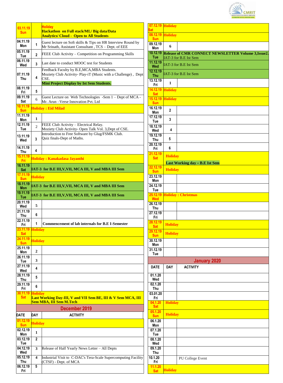

| 03.11.19<br><b>Sun</b> |                              | <b>Holiday</b><br>Hackathon on Full stack/ML/ Big data/Data<br><b>Analytics/ Cloud - Open to All Students</b>                                                   |                      |
|------------------------|------------------------------|-----------------------------------------------------------------------------------------------------------------------------------------------------------------|----------------------|
| 04.11.19<br>Mon        | 1                            | Guest lecture on Soft skills & Tips on HR Interview Round by<br>Mr Srinath, Assistant Consultant, TCS - Dept. of EEE                                            | $\overline{(\}$      |
| 05.11.19<br>Tue        | $\overline{2}$               | FEEE Club Activity - Competition on Programming Skills                                                                                                          |                      |
| 06.11.19<br>Wed        | 3                            | Last date to conduct MOOC test for Students                                                                                                                     |                      |
| 07.11.19<br>Thu        | 4                            | Feedback Faculty by B.E,MCA,MBA Students.<br>Moziety Club Activity- Play-iT (Music with a Challenge), Dept<br>CSE.<br>Mini Project Display by Ist Sem Students. | $\overline{1}$       |
| 08.11.19<br>Fri        | 5                            |                                                                                                                                                                 |                      |
| 09.11.19<br>Sat        | 6                            | Guest Lecture on Web Technologies -Sem 1 – Dept of MCA -<br>Mr. Arun - Verse Innovation Pvt. Ltd                                                                |                      |
| 10.11.19<br><b>Sun</b> |                              | <b>Holiday: Eid Milad</b>                                                                                                                                       | 1                    |
| 11.11.19<br>Mon        | $\mathbf{1}$                 |                                                                                                                                                                 | 1                    |
| 12.11.19<br>Tue        | $\overline{c}$               | FEEE Club Activity - Electrical Relay.<br>Moziety Club Activity- Open Talk Vol. 3, Dept of CSE.                                                                 | $\overline{1}$       |
| 13.11.19<br>Wed        | 3                            | Introduction to Free Software by Glug/FSMK Club.<br>Quiz finals-Dept of Maths.                                                                                  | ٦<br>í               |
| 14.11.19<br>Thu        | 4                            |                                                                                                                                                                 |                      |
| 15.11.19<br>Fri        |                              | Holiday: Kanakadasa Jayanthi                                                                                                                                    |                      |
| 16.11.19<br>Sat        |                              | [IAT-3 for B.E III,V,VII, MCA III, V and MBA III Sem                                                                                                            |                      |
| 17.11.19<br><b>Sun</b> | <b>Holiday</b>               |                                                                                                                                                                 | í                    |
| 18.11.19<br>Mon        |                              | IAT-3 for B.E III, V, VII, MCA III, V and MBA III Sem                                                                                                           | í                    |
| 19.11.19<br><b>Tue</b> |                              | [IAT-3 for B.E III,V,VII, MCA III, V and MBA III Sem                                                                                                            |                      |
| 20.11.19<br>Wed        | 5                            |                                                                                                                                                                 | 7                    |
| 21.11.19<br>Thu        | 6                            |                                                                                                                                                                 | í                    |
| 22.11.19<br>Fri        | 1                            | <b>Commencement of lab internals for B.E I-Semester</b>                                                                                                         |                      |
| 23.11.19<br><b>Sat</b> | <b>Holiday</b>               |                                                                                                                                                                 |                      |
| 24.11.19<br>Sun        | <b>Holiday</b>               |                                                                                                                                                                 | $\ddot{\phantom{0}}$ |
| 25.11.19<br>Mon        | $\mathbf{2}$                 |                                                                                                                                                                 | $\ddot{\phantom{0}}$ |
| 26.11.19<br>Tue        | 3                            |                                                                                                                                                                 |                      |
| 27.11.19<br>Wed        | 4                            |                                                                                                                                                                 |                      |
| 28.11.19<br>Thu        | 5                            |                                                                                                                                                                 |                      |
| 29.11.19<br>Fri        | 6                            |                                                                                                                                                                 |                      |
| 30.11.19<br><b>Sat</b> | Holidav                      | Last Working Day-III, V and VII Sem BE, III & V Sem MCA, III<br><b>Sem MBA, III Sem M.Tech</b>                                                                  |                      |
|                        |                              | December 2019                                                                                                                                                   |                      |
| DATE<br>01.12.19       | <b>DAY</b><br><b>Holiday</b> | <b>ACTIVITY</b>                                                                                                                                                 |                      |
| <b>Sun</b><br>02.12.19 | 1                            |                                                                                                                                                                 |                      |
| Mon<br>03.12.19        | $\mathbf 2$                  |                                                                                                                                                                 |                      |
| Tue<br>04.12.19        | 3                            | Release of Half Yearly News Letter - All Depts                                                                                                                  |                      |
| Wed<br>05.12.19        | 4                            | Industrial Visit to C-DAC's Tera-Scale Supercomputing Facility                                                                                                  | 1                    |
| Thu<br>06.12.19<br>Fri | 5                            | (CTSF) - Dept. of MCA                                                                                                                                           |                      |

| 07.12.19 Holiday<br>Sat |                |                                                                              |
|-------------------------|----------------|------------------------------------------------------------------------------|
| 08.12.19<br><b>Sun</b>  | <b>Holiday</b> |                                                                              |
| 09.12.19<br>Mon         | 6              |                                                                              |
| 10.12.19<br>Tue         |                | Release of CMR CONNECT NEWSLETTER Volume 3, Issue2.<br>IAT-3 for B.E Ist Sem |
| 11.12.19<br>Wed         |                | IAT-3 for B.E Ist Sem                                                        |
| 12.12.19<br><b>Thu</b>  |                | IAT-3 for B.E Ist Sem                                                        |
| 13.12.19<br>Fri         | 1              |                                                                              |
| 14.12.19<br><b>Sat</b>  | <b>Holiday</b> |                                                                              |
| 15.12.19<br><b>Sun</b>  | <b>Holiday</b> |                                                                              |
| 16.12.19<br>Mon         | $\mathbf 2$    |                                                                              |
| 17.12.19<br>Tue         | 3              |                                                                              |
| 18.12.19<br>Wed         | 4              |                                                                              |
| 19.12.19<br>Thu         | 5              |                                                                              |
| 20.12.19<br>Fri         | 6              |                                                                              |
| 21.12.19<br><b>Sat</b>  | <b>Holiday</b> |                                                                              |
| 22.12.19                |                | Last Working day - B.E Ist Sem                                               |
| <b>Sun</b><br>23.12.19  | <b>Holiday</b> |                                                                              |
| Mon<br>24.12.19         |                |                                                                              |
| Tue<br>25.12.19         |                | <b>Holiday: Christmas</b>                                                    |
| <b>Wed</b><br>26.12.19  |                |                                                                              |
| Thu<br>27.12.19         |                |                                                                              |
| Fri<br>28.12.19         |                |                                                                              |
| <b>Sat</b><br>29.12.19  | <b>Holiday</b> |                                                                              |
| <b>Sun</b><br>30.12.19  | <b>Holiday</b> |                                                                              |
| Mon<br>31.12.19         |                |                                                                              |
| Tue                     |                |                                                                              |
| <b>DATE</b>             | <b>DAY</b>     | <b>January 2020</b><br><b>ACTIVITY</b>                                       |
| 01.1.20                 |                |                                                                              |
| Wed<br>02.1.20          |                |                                                                              |
| Thu<br>03.01.20         |                |                                                                              |
| Fri<br>04.1.20          | <b>Holiday</b> |                                                                              |
| <b>Sat</b><br>05.1.20   |                |                                                                              |
| <b>Sun</b><br>06.1.20   | <b>Holiday</b> |                                                                              |
| Mon<br>07.1.20          |                |                                                                              |
| <b>Tue</b><br>08.1.20   |                |                                                                              |
| Wed<br>09.1.20          |                |                                                                              |
| Thu                     |                |                                                                              |
| 10.1.20<br>Fri          |                | PU College Event                                                             |
| 11.1.20<br><b>Sat</b>   | <b>Holiday</b> |                                                                              |